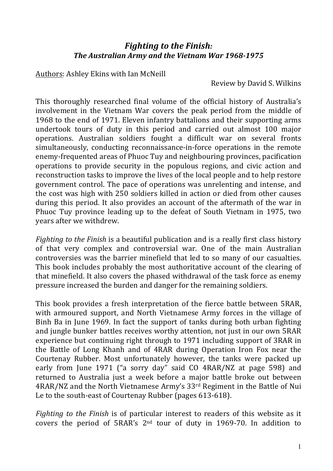## *Fighting to the Finish: The'Australian'Army'and'the'Vietnam'War'1968;1975*

Authors: Ashley Ekins with Ian McNeill

Review by David S. Wilkins

This thoroughly researched final volume of the official history of Australia's involvement in the Vietnam War covers the peak period from the middle of 1968 to the end of 1971. Eleven infantry battalions and their supporting arms undertook tours of duty in this period and carried out almost 100 major operations. Australian) soldiers) fought) a) difficult) war) on) several) fronts) simultaneously, conducting reconnaissance-in-force operations in the remote enemy-frequented areas of Phuoc Tuy and neighbouring provinces, pacification operations to provide security in the populous regions, and civic action and reconstruction tasks to improve the lives of the local people and to help restore government control. The pace of operations was unrelenting and intense, and the cost was high with 250 soldiers killed in action or died from other causes during this period. It also provides an account of the aftermath of the war in Phuoc Tuy province leading up to the defeat of South Vietnam in 1975, two years after we withdrew.

*Fighting to the Finish* is a beautiful publication and is a really first class history of) that) very) complex) and) controversial) war.) One) of) the) main) Australian) controversies was the barrier minefield that led to so many of our casualties. This book includes probably the most authoritative account of the clearing of that minefield. It also covers the phased withdrawal of the task force as enemy pressure increased the burden and danger for the remaining soldiers.

This book provides a fresh interpretation of the fierce battle between 5RAR, with armoured support, and North Vietnamese Army forces in the village of Binh Ba in June 1969. In fact the support of tanks during both urban fighting and jungle bunker battles receives worthy attention, not just in our own 5RAR experience but continuing right through to 1971 including support of 3RAR in the Battle of Long Khanh and of 4RAR during Operation Iron Fox near the Courtenay Rubber. Most unfortunately however, the tanks were packed up early from June 1971 ("a sorry day" said CO 4RAR/NZ at page 598) and returned to Australia just a week before a major battle broke out between 4RAR/NZ and the North Vietnamese Army's 33rd Regiment in the Battle of Nui Le to the south-east of Courtenay Rubber (pages 613-618).

*Fighting to the Finish* is of particular interest to readers of this website as it covers the period of  $5RAR's$   $2<sup>nd</sup>$  tour of duty in 1969-70. In addition to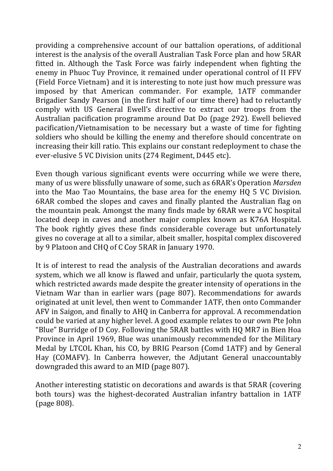providing a comprehensive account of our battalion operations, of additional interest is the analysis of the overall Australian Task Force plan and how 5RAR fitted in. Although the Task Force was fairly independent when fighting the enemy in Phuoc Tuy Province, it remained under operational control of II FFV (Field Force Vietnam) and it is interesting to note just how much pressure was imposed by that American commander. For example, 1ATF commander Brigadier Sandy Pearson (in the first half of our time there) had to reluctantly comply with US General Ewell's directive to extract our troops from the Australian pacification programme around Dat Do (page 292). Ewell believed pacification/Vietnamisation to be necessary but a waste of time for fighting soldiers who should be killing the enemy and therefore should concentrate on increasing their kill ratio. This explains our constant redeployment to chase the ever-elusive 5 VC Division units (274 Regiment, D445 etc).

Even though various significant events were occurring while we were there, many of us were blissfully unaware of some, such as 6RAR's Operation *Marsden* into the Mao Tao Mountains, the base area for the enemy HQ 5 VC Division. 6RAR combed the slopes and caves and finally planted the Australian flag on the mountain peak. Amongst the many finds made by 6RAR were a VC hospital located deep in caves and another major complex known as K76A Hospital. The book rightly gives these finds considerable coverage but unfortunately gives no coverage at all to a similar, albeit smaller, hospital complex discovered by 9 Platoon and CHQ of C Coy 5RAR in January 1970.

It is of interest to read the analysis of the Australian decorations and awards system, which we all know is flawed and unfair, particularly the quota system, which restricted awards made despite the greater intensity of operations in the Vietnam War than in earlier wars (page 807). Recommendations for awards originated at unit level, then went to Commander 1ATF, then onto Commander AFV in Saigon, and finally to AHQ in Canberra for approval. A recommendation could be varied at any higher level. A good example relates to our own Pte John "Blue" Burridge of D Coy. Following the 5RAR battles with HQ MR7 in Bien Hoa Province in April 1969, Blue was unanimously recommended for the Military Medal by LTCOL Khan, his CO, by BRIG Pearson (Comd 1ATF) and by General Hay (COMAFV). In Canberra however, the Adjutant General unaccountably downgraded this award to an MID (page  $807$ ).

Another interesting statistic on decorations and awards is that 5RAR (covering) both tours) was the highest-decorated Australian infantry battalion in 1ATF (page 808).